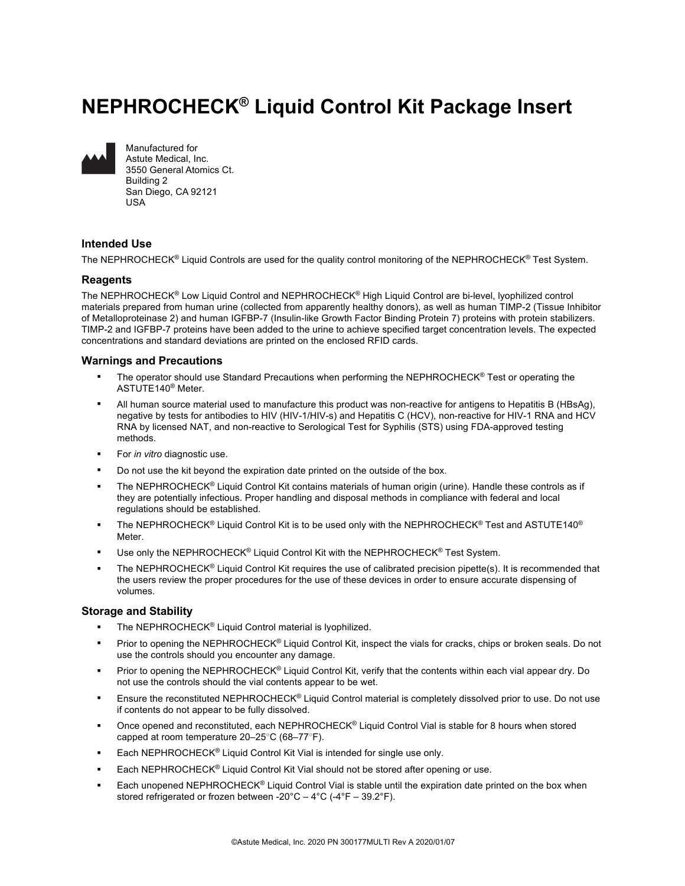# **NEPHROCHECK® Liquid Control Kit Package Insert**



Manufactured for Astute Medical, Inc. 3550 General Atomics Ct. Building 2 San Diego, CA 92121 USA

## **Intended Use**

The NEPHROCHECK<sup>®</sup> Liquid Controls are used for the quality control monitoring of the NEPHROCHECK<sup>®</sup> Test System.

#### **Reagents**

The NEPHROCHECK® Low Liquid Control and NEPHROCHECK® High Liquid Control are bi-level, lyophilized control materials prepared from human urine (collected from apparently healthy donors), as well as human TIMP-2 (Tissue Inhibitor of Metalloproteinase 2) and human IGFBP-7 (Insulin-like Growth Factor Binding Protein 7) proteins with protein stabilizers. TIMP-2 and IGFBP-7 proteins have been added to the urine to achieve specified target concentration levels. The expected concentrations and standard deviations are printed on the enclosed RFID cards.

## **Warnings and Precautions**

- The operator should use Standard Precautions when performing the NEPHROCHECK<sup>®</sup> Test or operating the ASTUTE140® Meter.
- § All human source material used to manufacture this product was non-reactive for antigens to Hepatitis B (HBsAg), negative by tests for antibodies to HIV (HIV-1/HIV-s) and Hepatitis C (HCV), non-reactive for HIV-1 RNA and HCV RNA by licensed NAT, and non-reactive to Serological Test for Syphilis (STS) using FDA-approved testing methods.
- § For *in vitro* diagnostic use.
- Do not use the kit beyond the expiration date printed on the outside of the box.
- The NEPHROCHECK<sup>®</sup> Liquid Control Kit contains materials of human origin (urine). Handle these controls as if they are potentially infectious. Proper handling and disposal methods in compliance with federal and local regulations should be established.
- The NEPHROCHECK<sup>®</sup> Liquid Control Kit is to be used only with the NEPHROCHECK<sup>®</sup> Test and ASTUTE140<sup>®</sup> Meter.
- Use only the NEPHROCHECK<sup>®</sup> Liquid Control Kit with the NEPHROCHECK<sup>®</sup> Test System.
- The NEPHROCHECK<sup>®</sup> Liquid Control Kit requires the use of calibrated precision pipette(s). It is recommended that the users review the proper procedures for the use of these devices in order to ensure accurate dispensing of volumes.

#### **Storage and Stability**

- The NEPHROCHECK® Liquid Control material is lyophilized.
- Prior to opening the NEPHROCHECK<sup>®</sup> Liquid Control Kit, inspect the vials for cracks, chips or broken seals. Do not use the controls should you encounter any damage.
- Prior to opening the NEPHROCHECK® Liquid Control Kit, verify that the contents within each vial appear dry. Do not use the controls should the vial contents appear to be wet.
- Ensure the reconstituted NEPHROCHECK<sup>®</sup> Liquid Control material is completely dissolved prior to use. Do not use if contents do not appear to be fully dissolved.
- Once opened and reconstituted, each NEPHROCHECK® Liquid Control Vial is stable for 8 hours when stored capped at room temperature 20–25○C (68–77○F).
- Each NEPHROCHECK<sup>®</sup> Liquid Control Kit Vial is intended for single use only.
- Each NEPHROCHECK® Liquid Control Kit Vial should not be stored after opening or use.
- Each unopened NEPHROCHECK<sup>®</sup> Liquid Control Vial is stable until the expiration date printed on the box when stored refrigerated or frozen between -20°C – 4°C (-4°F – 39.2°F).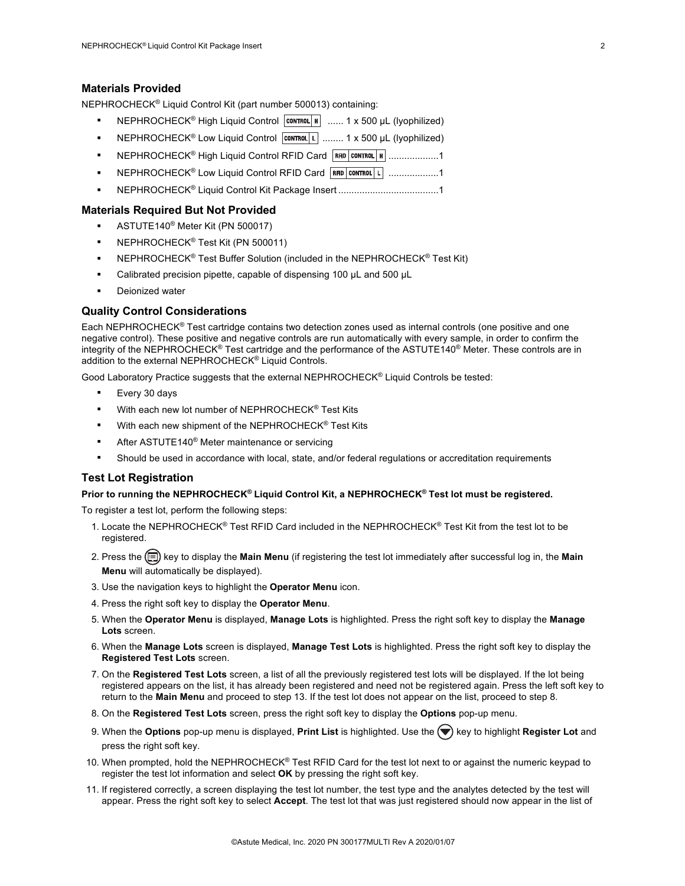#### **Materials Provided**

NEPHROCHECK® Liquid Control Kit (part number 500013) containing:

- NEPHROCHECK<sup>®</sup> High Liquid Control **CONTROL H** ...... 1 x 500 µL (lyophilized)
- NEPHROCHECK<sup>®</sup> Low Liquid Control **CONTROL** L ........ 1 x 500 µL (lyophilized)
- **NEPHROCHECK<sup>®</sup> High Liquid Control RFID Card RFID CONTROL H** ...................1
- NEPHROCHECK<sup>®</sup> Low Liquid Control RFID Card **RFID** CONTROL 1 ...................1
- § NEPHROCHECK® Liquid Control Kit Package Insert ......................................1

#### **Materials Required But Not Provided**

- § ASTUTE140® Meter Kit (PN 500017)
- § NEPHROCHECK® Test Kit (PN 500011)
- NEPHROCHECK<sup>®</sup> Test Buffer Solution (included in the NEPHROCHECK<sup>®</sup> Test Kit)
- Calibrated precision pipette, capable of dispensing 100 µL and 500 µL
- Deionized water

#### **Quality Control Considerations**

Each NEPHROCHECK® Test cartridge contains two detection zones used as internal controls (one positive and one negative control). These positive and negative controls are run automatically with every sample, in order to confirm the integrity of the NEPHROCHECK® Test cartridge and the performance of the ASTUTE140® Meter. These controls are in addition to the external NEPHROCHECK® Liquid Controls.

Good Laboratory Practice suggests that the external NEPHROCHECK® Liquid Controls be tested:

- § Every 30 days
- With each new lot number of NEPHROCHECK<sup>®</sup> Test Kits
- With each new shipment of the NEPHROCHECK® Test Kits
- After ASTUTE140<sup>®</sup> Meter maintenance or servicing
- Should be used in accordance with local, state, and/or federal regulations or accreditation requirements

#### **Test Lot Registration**

#### **Prior to running the NEPHROCHECK® Liquid Control Kit, a NEPHROCHECK® Test lot must be registered.**

To register a test lot, perform the following steps:

- 1. Locate the NEPHROCHECK® Test RFID Card included in the NEPHROCHECK® Test Kit from the test lot to be registered.
- 2. Press the key to display the **Main Menu** (if registering the test lot immediately after successful log in, the **Main Menu** will automatically be displayed).
- 3. Use the navigation keys to highlight the **Operator Menu** icon.
- 4. Press the right soft key to display the **Operator Menu**.
- 5. When the **Operator Menu** is displayed, **Manage Lots** is highlighted. Press the right soft key to display the **Manage Lots** screen.
- 6. When the **Manage Lots** screen is displayed, **Manage Test Lots** is highlighted. Press the right soft key to display the **Registered Test Lots** screen.
- 7. On the **Registered Test Lots** screen, a list of all the previously registered test lots will be displayed. If the lot being registered appears on the list, it has already been registered and need not be registered again. Press the left soft key to return to the **Main Menu** and proceed to step 13. If the test lot does not appear on the list, proceed to step 8.
- 8. On the **Registered Test Lots** screen, press the right soft key to display the **Options** pop-up menu.
- 9. When the **Options** pop-up menu is displayed, **Print List** is highlighted. Use the  $(\blacktriangledown)$  key to highlight **Register Lot** and press the right soft key.
- 10. When prompted, hold the NEPHROCHECK® Test RFID Card for the test lot next to or against the numeric keypad to register the test lot information and select **OK** by pressing the right soft key.
- 11. If registered correctly, a screen displaying the test lot number, the test type and the analytes detected by the test will appear. Press the right soft key to select **Accept**. The test lot that was just registered should now appear in the list of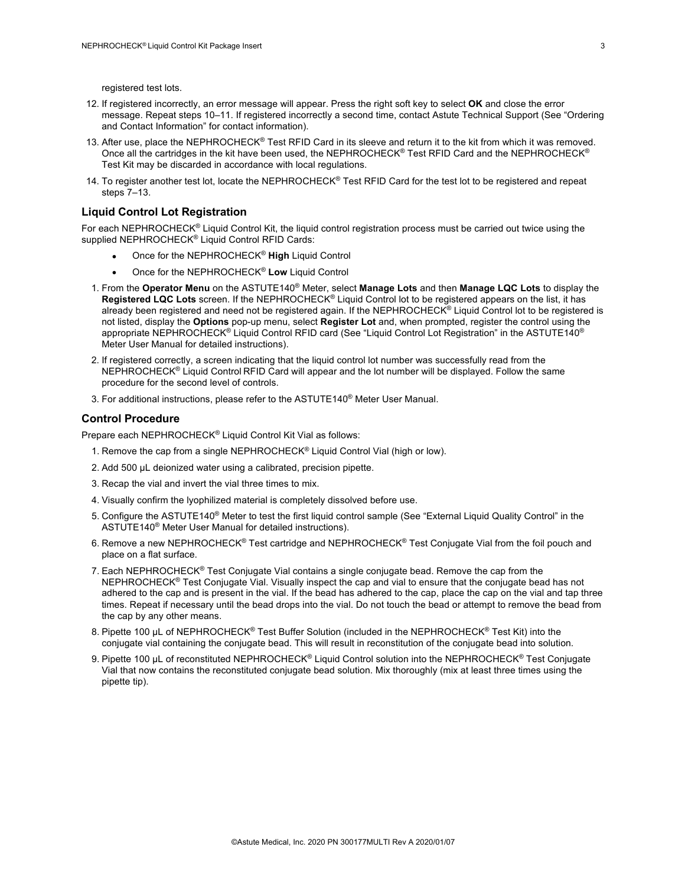registered test lots.

- 12. If registered incorrectly, an error message will appear. Press the right soft key to select **OK** and close the error message. Repeat steps 10–11. If registered incorrectly a second time, contact Astute Technical Support (See "Ordering and Contact Information" for contact information).
- 13. After use, place the NEPHROCHECK<sup>®</sup> Test RFID Card in its sleeve and return it to the kit from which it was removed. Once all the cartridges in the kit have been used, the NEPHROCHECK® Test RFID Card and the NEPHROCHECK® Test Kit may be discarded in accordance with local regulations.
- 14. To register another test lot, locate the NEPHROCHECK<sup>®</sup> Test RFID Card for the test lot to be registered and repeat steps 7–13.

#### **Liquid Control Lot Registration**

For each NEPHROCHECK® Liquid Control Kit, the liquid control registration process must be carried out twice using the supplied NEPHROCHECK<sup>®</sup> Liquid Control RFID Cards:

- Once for the NEPHROCHECK® **High** Liquid Control
- Once for the NEPHROCHECK® **Low** Liquid Control
- 1. From the **Operator Menu** on the ASTUTE140® Meter, select **Manage Lots** and then **Manage LQC Lots** to display the **Registered LQC Lots** screen. If the NEPHROCHECK® Liquid Control lot to be registered appears on the list, it has already been registered and need not be registered again. If the NEPHROCHECK<sup>®</sup> Liquid Control lot to be registered is not listed, display the **Options** pop-up menu, select **Register Lot** and, when prompted, register the control using the appropriate NEPHROCHECK® Liquid Control RFID card (See "Liquid Control Lot Registration" in the ASTUTE140® Meter User Manual for detailed instructions).
- 2. If registered correctly, a screen indicating that the liquid control lot number was successfully read from the NEPHROCHECK® Liquid Control RFID Card will appear and the lot number will be displayed. Follow the same procedure for the second level of controls.
- 3. For additional instructions, please refer to the ASTUTE140® Meter User Manual.

#### **Control Procedure**

Prepare each NEPHROCHECK® Liquid Control Kit Vial as follows:

- 1. Remove the cap from a single NEPHROCHECK® Liquid Control Vial (high or low).
- 2. Add 500 µL deionized water using a calibrated, precision pipette.
- 3. Recap the vial and invert the vial three times to mix.
- 4. Visually confirm the lyophilized material is completely dissolved before use.
- 5. Configure the ASTUTE140® Meter to test the first liquid control sample (See "External Liquid Quality Control" in the ASTUTE140® Meter User Manual for detailed instructions).
- 6. Remove a new NEPHROCHECK<sup>®</sup> Test cartridge and NEPHROCHECK<sup>®</sup> Test Conjugate Vial from the foil pouch and place on a flat surface.
- 7. Each NEPHROCHECK<sup>®</sup> Test Conjugate Vial contains a single conjugate bead. Remove the cap from the NEPHROCHECK® Test Conjugate Vial. Visually inspect the cap and vial to ensure that the conjugate bead has not adhered to the cap and is present in the vial. If the bead has adhered to the cap, place the cap on the vial and tap three times. Repeat if necessary until the bead drops into the vial. Do not touch the bead or attempt to remove the bead from the cap by any other means.
- 8. Pipette 100 µL of NEPHROCHECK<sup>®</sup> Test Buffer Solution (included in the NEPHROCHECK<sup>®</sup> Test Kit) into the conjugate vial containing the conjugate bead. This will result in reconstitution of the conjugate bead into solution.
- 9. Pipette 100 µL of reconstituted NEPHROCHECK<sup>®</sup> Liquid Control solution into the NEPHROCHECK<sup>®</sup> Test Conjugate Vial that now contains the reconstituted conjugate bead solution. Mix thoroughly (mix at least three times using the pipette tip).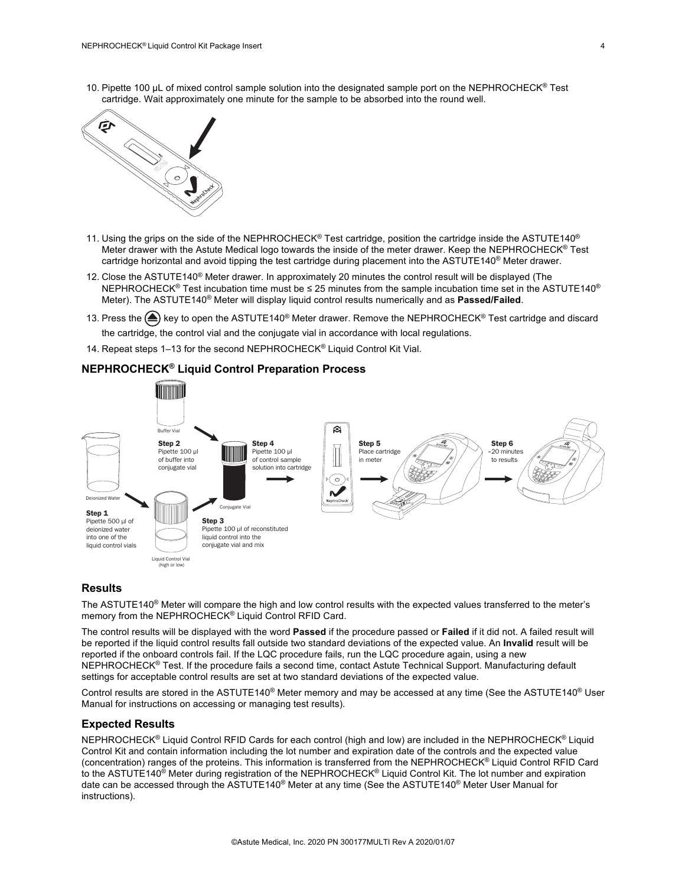10. Pipette 100 µL of mixed control sample solution into the designated sample port on the NEPHROCHECK® Test cartridge. Wait approximately one minute for the sample to be absorbed into the round well.



- 11. Using the grips on the side of the NEPHROCHECK® Test cartridge, position the cartridge inside the ASTUTE140® Meter drawer with the Astute Medical logo towards the inside of the meter drawer. Keep the NEPHROCHECK® Test cartridge horizontal and avoid tipping the test cartridge during placement into the ASTUTE140® Meter drawer.
- 12. Close the ASTUTE140<sup>®</sup> Meter drawer. In approximately 20 minutes the control result will be displayed (The NEPHROCHECK<sup>®</sup> Test incubation time must be ≤ 25 minutes from the sample incubation time set in the ASTUTE140<sup>®</sup> Meter). The ASTUTE140® Meter will display liquid control results numerically and as **Passed/Failed**.
- 13. Press the (▲) key to open the ASTUTE140<sup>®</sup> Meter drawer. Remove the NEPHROCHECK<sup>®</sup> Test cartridge and discard the cartridge, the control vial and the conjugate vial in accordance with local regulations.
- 14. Repeat steps 1-13 for the second NEPHROCHECK® Liquid Control Kit Vial.

## **NEPHROCHECK® Liquid Control Preparation Process**



#### **Results**

The ASTUTE140<sup>®</sup> Meter will compare the high and low control results with the expected values transferred to the meter's memory from the NEPHROCHECK® Liquid Control RFID Card.

The control results will be displayed with the word **Passed** if the procedure passed or **Failed** if it did not. A failed result will be reported if the liquid control results fall outside two standard deviations of the expected value. An **Invalid** result will be reported if the onboard controls fail. If the LQC procedure fails, run the LQC procedure again, using a new NEPHROCHECK® Test. If the procedure fails a second time, contact Astute Technical Support. Manufacturing default settings for acceptable control results are set at two standard deviations of the expected value.

Control results are stored in the ASTUTE140® Meter memory and may be accessed at any time (See the ASTUTE140® User Manual for instructions on accessing or managing test results).

#### **Expected Results**

NEPHROCHECK® Liquid Control RFID Cards for each control (high and low) are included in the NEPHROCHECK® Liquid Control Kit and contain information including the lot number and expiration date of the controls and the expected value (concentration) ranges of the proteins. This information is transferred from the NEPHROCHECK® Liquid Control RFID Card to the ASTUTE140<sup>®</sup> Meter during registration of the NEPHROCHECK<sup>®</sup> Liquid Control Kit. The lot number and expiration date can be accessed through the ASTUTE140® Meter at any time (See the ASTUTE140® Meter User Manual for instructions).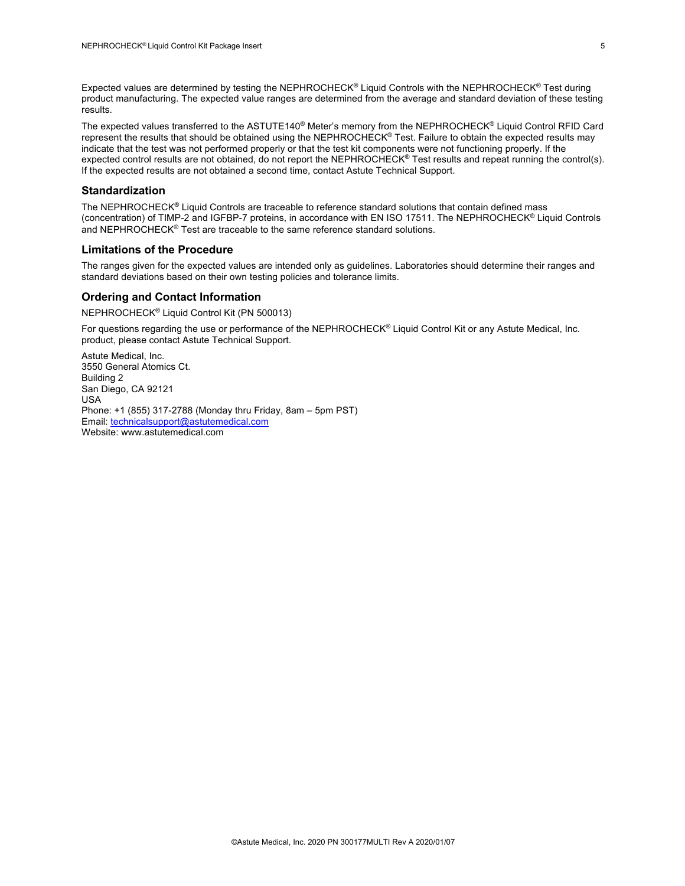Expected values are determined by testing the NEPHROCHECK® Liquid Controls with the NEPHROCHECK® Test during product manufacturing. The expected value ranges are determined from the average and standard deviation of these testing results.

The expected values transferred to the ASTUTE140® Meter's memory from the NEPHROCHECK® Liquid Control RFID Card represent the results that should be obtained using the NEPHROCHECK® Test. Failure to obtain the expected results may indicate that the test was not performed properly or that the test kit components were not functioning properly. If the expected control results are not obtained, do not report the NEPHROCHECK® Test results and repeat running the control(s). If the expected results are not obtained a second time, contact Astute Technical Support.

#### **Standardization**

The NEPHROCHECK® Liquid Controls are traceable to reference standard solutions that contain defined mass (concentration) of TIMP-2 and IGFBP-7 proteins, in accordance with EN ISO 17511. The NEPHROCHECK® Liquid Controls and NEPHROCHECK® Test are traceable to the same reference standard solutions.

#### **Limitations of the Procedure**

The ranges given for the expected values are intended only as guidelines. Laboratories should determine their ranges and standard deviations based on their own testing policies and tolerance limits.

#### **Ordering and Contact Information**

NEPHROCHECK® Liquid Control Kit (PN 500013)

For questions regarding the use or performance of the NEPHROCHECK® Liquid Control Kit or any Astute Medical, Inc. product, please contact Astute Technical Support.

Astute Medical, Inc. 3550 General Atomics Ct. Building 2 San Diego, CA 92121 USA Phone: +1 (855) 317-2788 (Monday thru Friday, 8am – 5pm PST) Email: technicalsupport@astutemedical.com Website: www.astutemedical.com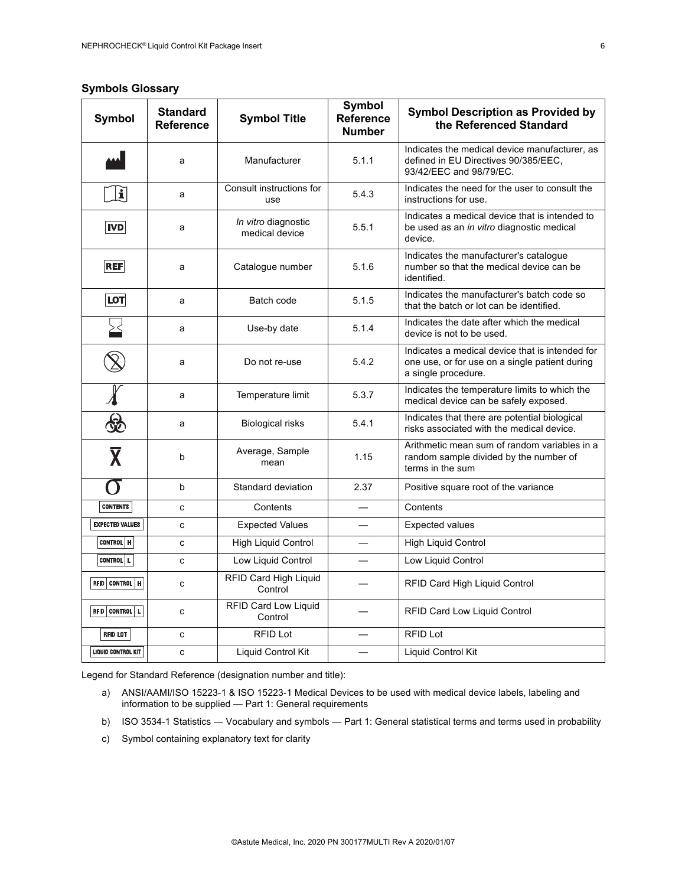## **Symbols Glossary**

| <b>Symbol</b>           | <b>Standard</b><br><b>Reference</b> | <b>Symbol Title</b>                   | <b>Symbol</b><br><b>Reference</b><br><b>Number</b> | <b>Symbol Description as Provided by</b><br>the Referenced Standard                                                      |
|-------------------------|-------------------------------------|---------------------------------------|----------------------------------------------------|--------------------------------------------------------------------------------------------------------------------------|
|                         | a                                   | Manufacturer                          | 5.1.1                                              | Indicates the medical device manufacturer, as<br>defined in EU Directives 90/385/EEC,<br>93/42/EEC and 98/79/EC.         |
| $ \mathbf{i} $          | a                                   | Consult instructions for<br>use       | 5.4.3                                              | Indicates the need for the user to consult the<br>instructions for use.                                                  |
| $ $ IVD $ $             | a                                   | In vitro diagnostic<br>medical device | 5.5.1                                              | Indicates a medical device that is intended to<br>be used as an <i>in vitro</i> diagnostic medical<br>device.            |
| <b>REF</b>              | a                                   | Catalogue number                      | 5.1.6                                              | Indicates the manufacturer's catalogue<br>number so that the medical device can be<br>identified.                        |
| <b>LOT</b>              | a                                   | Batch code                            | 5.1.5                                              | Indicates the manufacturer's batch code so<br>that the batch or lot can be identified.                                   |
|                         | a                                   | Use-by date                           | 5.1.4                                              | Indicates the date after which the medical<br>device is not to be used.                                                  |
|                         | a                                   | Do not re-use                         | 5.4.2                                              | Indicates a medical device that is intended for<br>one use, or for use on a single patient during<br>a single procedure. |
|                         | a                                   | Temperature limit                     | 5.3.7                                              | Indicates the temperature limits to which the<br>medical device can be safely exposed.                                   |
| 蛇                       | a                                   | Biological risks                      | 5.4.1                                              | Indicates that there are potential biological<br>risks associated with the medical device.                               |
| $\overline{\textbf{X}}$ | b                                   | Average, Sample<br>mean               | 1.15                                               | Arithmetic mean sum of random variables in a<br>random sample divided by the number of<br>terms in the sum               |
| $\Omega$                | b                                   | Standard deviation                    | 2.37                                               | Positive square root of the variance                                                                                     |
| <b>CONTENTS</b>         | c                                   | Contents                              |                                                    | Contents                                                                                                                 |
| <b>EXPECTED VALUES</b>  | C                                   | <b>Expected Values</b>                |                                                    | <b>Expected values</b>                                                                                                   |
| CONTROL   H             | C                                   | <b>High Liquid Control</b>            |                                                    | <b>High Liquid Control</b>                                                                                               |
| <b>CONTROL</b>   L      | c                                   | Low Liquid Control                    |                                                    | Low Liquid Control                                                                                                       |
| RFID CONTROL   H        | c                                   | RFID Card High Liquid<br>Control      |                                                    | <b>RFID Card High Liquid Control</b>                                                                                     |
| RFID CONTROL   L        | C                                   | RFID Card Low Liquid<br>Control       |                                                    | <b>RFID Card Low Liquid Control</b>                                                                                      |
| RFID LOT                | C                                   | <b>RFID Lot</b>                       |                                                    | <b>RFID Lot</b>                                                                                                          |
| LIQUID CONTROL KIT      | с                                   | Liquid Control Kit                    |                                                    | Liquid Control Kit                                                                                                       |

Legend for Standard Reference (designation number and title):

- a) ANSI/AAMI/ISO 15223-1 & ISO 15223-1 Medical Devices to be used with medical device labels, labeling and information to be supplied — Part 1: General requirements
- b) ISO 3534-1 Statistics Vocabulary and symbols Part 1: General statistical terms and terms used in probability
- c) Symbol containing explanatory text for clarity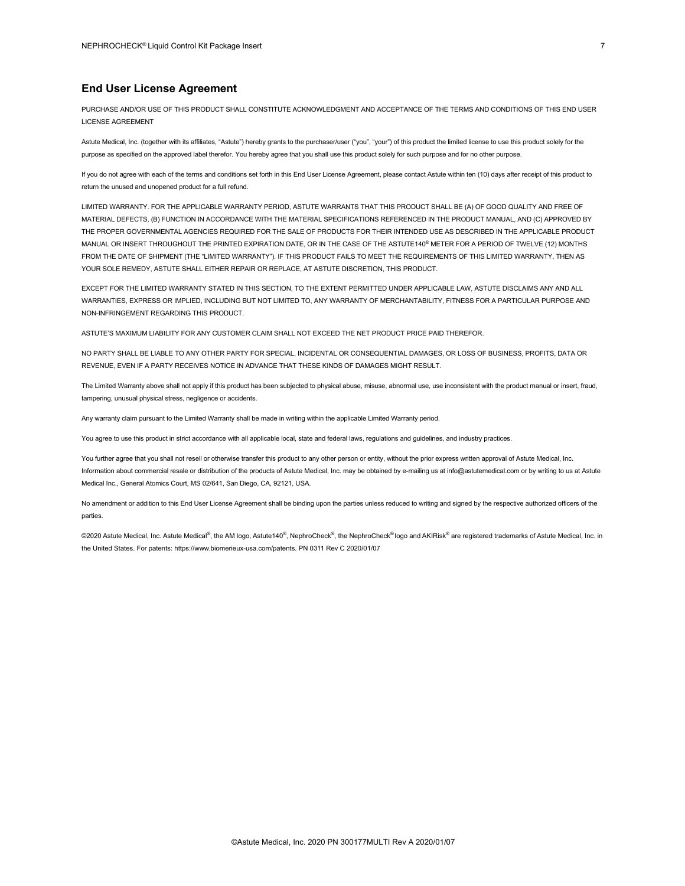#### **End User License Agreement**

PURCHASE AND/OR USE OF THIS PRODUCT SHALL CONSTITUTE ACKNOWLEDGMENT AND ACCEPTANCE OF THE TERMS AND CONDITIONS OF THIS END USER LICENSE AGREEMENT

Astute Medical, Inc. (together with its affiliates, "Astute") hereby grants to the purchaser/user ("you", "your") of this product the limited license to use this product solely for the purpose as specified on the approved label therefor. You hereby agree that you shall use this product solely for such purpose and for no other purpose.

If you do not agree with each of the terms and conditions set forth in this End User License Agreement, please contact Astute within ten (10) days after receipt of this product to return the unused and unopened product for a full refund.

LIMITED WARRANTY. FOR THE APPLICABLE WARRANTY PERIOD, ASTUTE WARRANTS THAT THIS PRODUCT SHALL BE (A) OF GOOD QUALITY AND FREE OF MATERIAL DEFECTS, (B) FUNCTION IN ACCORDANCE WITH THE MATERIAL SPECIFICATIONS REFERENCED IN THE PRODUCT MANUAL, AND (C) APPROVED BY THE PROPER GOVERNMENTAL AGENCIES REQUIRED FOR THE SALE OF PRODUCTS FOR THEIR INTENDED USE AS DESCRIBED IN THE APPLICABLE PRODUCT MANUAL OR INSERT THROUGHOUT THE PRINTED EXPIRATION DATE, OR IN THE CASE OF THE ASTUTE140® METER FOR A PERIOD OF TWELVE (12) MONTHS FROM THE DATE OF SHIPMENT (THE "LIMITED WARRANTY"). IF THIS PRODUCT FAILS TO MEET THE REQUIREMENTS OF THIS LIMITED WARRANTY, THEN AS YOUR SOLE REMEDY, ASTUTE SHALL EITHER REPAIR OR REPLACE, AT ASTUTE DISCRETION, THIS PRODUCT.

EXCEPT FOR THE LIMITED WARRANTY STATED IN THIS SECTION, TO THE EXTENT PERMITTED UNDER APPLICABLE LAW, ASTUTE DISCLAIMS ANY AND ALL WARRANTIES, EXPRESS OR IMPLIED, INCLUDING BUT NOT LIMITED TO, ANY WARRANTY OF MERCHANTABILITY, FITNESS FOR A PARTICULAR PURPOSE AND NON-INFRINGEMENT REGARDING THIS PRODUCT.

ASTUTE'S MAXIMUM LIABILITY FOR ANY CUSTOMER CLAIM SHALL NOT EXCEED THE NET PRODUCT PRICE PAID THEREFOR.

NO PARTY SHALL BE LIABLE TO ANY OTHER PARTY FOR SPECIAL, INCIDENTAL OR CONSEQUENTIAL DAMAGES, OR LOSS OF BUSINESS, PROFITS, DATA OR REVENUE, EVEN IF A PARTY RECEIVES NOTICE IN ADVANCE THAT THESE KINDS OF DAMAGES MIGHT RESULT.

The Limited Warranty above shall not apply if this product has been subjected to physical abuse, misuse, abnormal use, use inconsistent with the product manual or insert, fraud, tampering, unusual physical stress, negligence or accidents.

Any warranty claim pursuant to the Limited Warranty shall be made in writing within the applicable Limited Warranty period.

You agree to use this product in strict accordance with all applicable local, state and federal laws, regulations and guidelines, and industry practices.

You further agree that you shall not resell or otherwise transfer this product to any other person or entity, without the prior express written approval of Astute Medical, Inc. Information about commercial resale or distribution of the products of Astute Medical, Inc. may be obtained by e-mailing us at info@astutemedical.com or by writing to us at Astute Medical Inc., General Atomics Court, MS 02/641, San Diego, CA, 92121, USA.

No amendment or addition to this End User License Agreement shall be binding upon the parties unless reduced to writing and signed by the respective authorized officers of the parties.

©2020 Astute Medical, Inc. Astute Medical®, the AM logo, Astute140®, NephroCheck®, the NephroCheck® logo and AKIRisk® are registered trademarks of Astute Medical, Inc. in the United States. For patents: https://www.biomerieux-usa.com/patents. PN 0311 Rev C 2020/01/07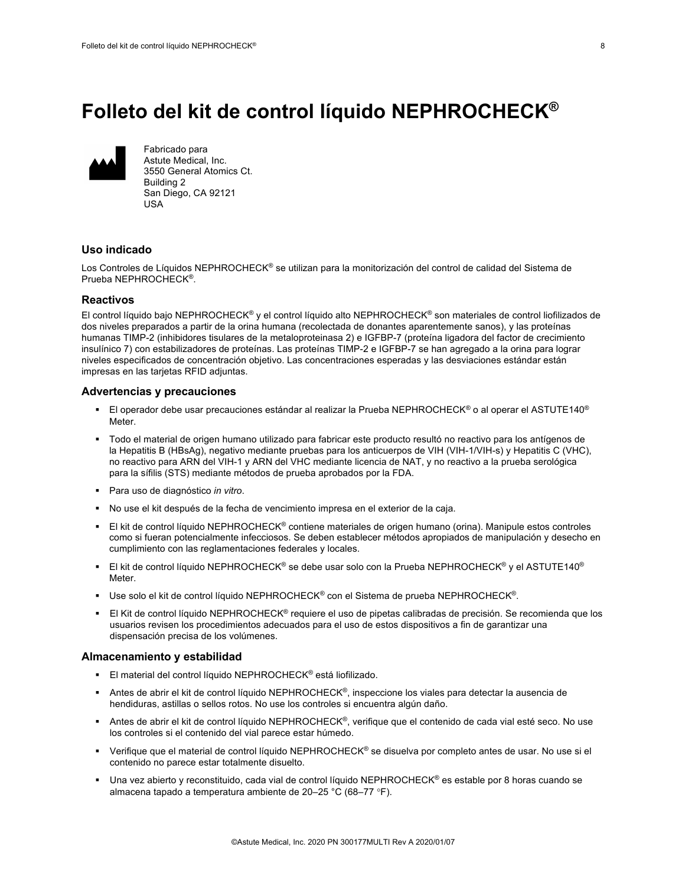## **Folleto del kit de control líquido NEPHROCHECK®**



Fabricado para Astute Medical, Inc. 3550 General Atomics Ct. Building 2 San Diego, CA 92121 USA

#### **Uso indicado**

Los Controles de Líquidos NEPHROCHECK® se utilizan para la monitorización del control de calidad del Sistema de Prueba NEPHROCHECK®.

#### **Reactivos**

El control líquido bajo NEPHROCHECK<sup>®</sup> y el control líquido alto NEPHROCHECK<sup>®</sup> son materiales de control liofilizados de dos niveles preparados a partir de la orina humana (recolectada de donantes aparentemente sanos), y las proteínas humanas TIMP-2 (inhibidores tisulares de la metaloproteinasa 2) e IGFBP-7 (proteína ligadora del factor de crecimiento insulínico 7) con estabilizadores de proteínas. Las proteínas TIMP-2 e IGFBP-7 se han agregado a la orina para lograr niveles especificados de concentración objetivo. Las concentraciones esperadas y las desviaciones estándar están impresas en las tarjetas RFID adjuntas.

#### **Advertencias y precauciones**

- El operador debe usar precauciones estándar al realizar la Prueba NEPHROCHECK® o al operar el ASTUTE140<sup>®</sup> Meter.
- § Todo el material de origen humano utilizado para fabricar este producto resultó no reactivo para los antígenos de la Hepatitis B (HBsAg), negativo mediante pruebas para los anticuerpos de VIH (VIH-1/VIH-s) y Hepatitis C (VHC), no reactivo para ARN del VIH-1 y ARN del VHC mediante licencia de NAT, y no reactivo a la prueba serológica para la sífilis (STS) mediante métodos de prueba aprobados por la FDA.
- Para uso de diagnóstico *in vitro*.
- No use el kit después de la fecha de vencimiento impresa en el exterior de la caja.
- El kit de control líquido NEPHROCHECK<sup>®</sup> contiene materiales de origen humano (orina). Manipule estos controles como si fueran potencialmente infecciosos. Se deben establecer métodos apropiados de manipulación y desecho en cumplimiento con las reglamentaciones federales y locales.
- § El kit de control líquido NEPHROCHECK® se debe usar solo con la Prueba NEPHROCHECK® y el ASTUTE140® Meter.
- § Use solo el kit de control líquido NEPHROCHECK® con el Sistema de prueba NEPHROCHECK®.
- El Kit de control líquido NEPHROCHECK<sup>®</sup> requiere el uso de pipetas calibradas de precisión. Se recomienda que los usuarios revisen los procedimientos adecuados para el uso de estos dispositivos a fin de garantizar una dispensación precisa de los volúmenes.

#### **Almacenamiento y estabilidad**

- El material del control líquido NEPHROCHECK<sup>®</sup> está liofilizado.
- § Antes de abrir el kit de control líquido NEPHROCHECK®, inspeccione los viales para detectar la ausencia de hendiduras, astillas o sellos rotos. No use los controles si encuentra algún daño.
- Antes de abrir el kit de control líquido NEPHROCHECK<sup>®</sup>, verifique que el contenido de cada vial esté seco. No use los controles si el contenido del vial parece estar húmedo.
- § Verifique que el material de control líquido NEPHROCHECK® se disuelva por completo antes de usar. No use si el contenido no parece estar totalmente disuelto.
- Una vez abierto y reconstituido, cada vial de control líquido NEPHROCHECK<sup>®</sup> es estable por 8 horas cuando se almacena tapado a temperatura ambiente de 20–25 °C (68–77 °F).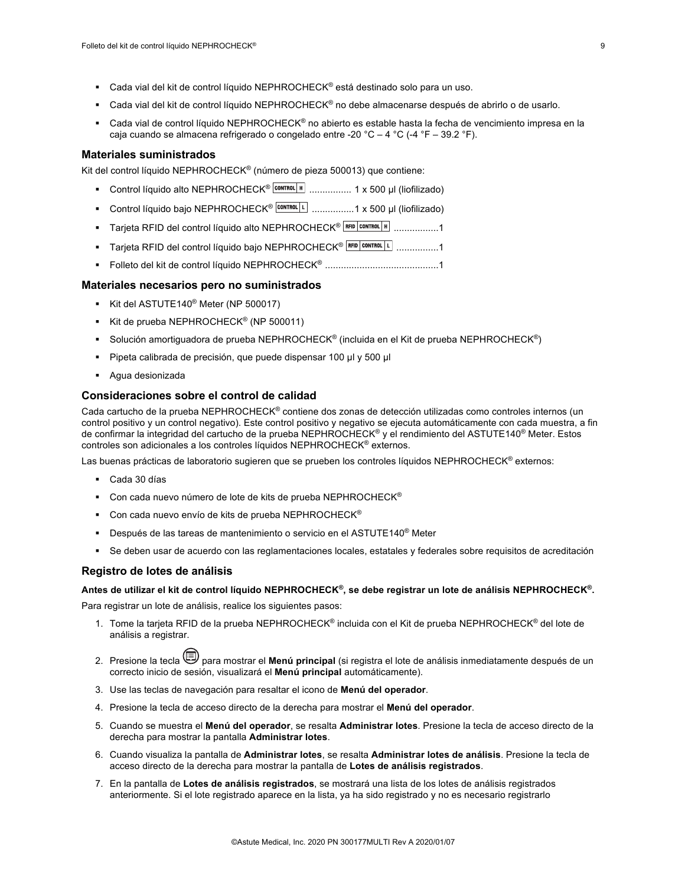- Cada vial del kit de control líquido NEPHROCHECK<sup>®</sup> está destinado solo para un uso.
- Cada vial del kit de control líquido NEPHROCHECK® no debe almacenarse después de abrirlo o de usarlo.
- Cada vial de control líquido NEPHROCHECK® no abierto es estable hasta la fecha de vencimiento impresa en la caja cuando se almacena refrigerado o congelado entre -20 °C – 4 °C (-4 °F – 39.2 °F).

#### **Materiales suministrados**

Kit del control líquido NEPHROCHECK® (número de pieza 500013) que contiene:

- Control líquido alto NEPHROCHECK<sup>® | conπαι | н</sup> ................. 1 x 500 μl (liofilizado)
- Control líquido bajo NEPHROCHECK<sup>® | contradLL |</sup> ..................1 x 500 µl (liofilizado)
- Tarjeta RFID del control líquido alto NEPHROCHECK<sup>® | RFID | contral | H</sup> | ..................1
- Tarjeta RFID del control líquido bajo NEPHROCHECK<sup>® | RFID CONTROL | 1</sup> .................1
- § Folleto del kit de control líquido NEPHROCHECK® ...........................................1

#### **Materiales necesarios pero no suministrados**

- § Kit del ASTUTE140® Meter (NP 500017)
- Kit de prueba NEPHROCHECK<sup>®</sup> (NP 500011)
- § Solución amortiguadora de prueba NEPHROCHECK® (incluida en el Kit de prueba NEPHROCHECK®)
- § Pipeta calibrada de precisión, que puede dispensar 100 µl y 500 µl
- § Agua desionizada

#### **Consideraciones sobre el control de calidad**

Cada cartucho de la prueba NEPHROCHECK® contiene dos zonas de detección utilizadas como controles internos (un control positivo y un control negativo). Este control positivo y negativo se ejecuta automáticamente con cada muestra, a fin de confirmar la integridad del cartucho de la prueba NEPHROCHECK<sup>®</sup> y el rendimiento del ASTUTE140<sup>®</sup> Meter. Estos controles son adicionales a los controles líquidos NEPHROCHECK® externos.

Las buenas prácticas de laboratorio sugieren que se prueben los controles líquidos NEPHROCHECK® externos:

- § Cada 30 días
- Con cada nuevo número de lote de kits de prueba NEPHROCHECK<sup>®</sup>
- **•** Con cada nuevo envío de kits de prueba NEPHROCHECK<sup>®</sup>
- **Después de las tareas de mantenimiento o servicio en el ASTUTE140<sup>®</sup> Meter**
- § Se deben usar de acuerdo con las reglamentaciones locales, estatales y federales sobre requisitos de acreditación

#### **Registro de lotes de análisis**

**Antes de utilizar el kit de control líquido NEPHROCHECK®, se debe registrar un lote de análisis NEPHROCHECK®.**

Para registrar un lote de análisis, realice los siguientes pasos:

- 1. Tome la tarjeta RFID de la prueba NEPHROCHECK® incluida con el Kit de prueba NEPHROCHECK® del lote de análisis a registrar.
- 2. Presione la tecla para mostrar el **Menú principal** (si registra el lote de análisis inmediatamente después de un correcto inicio de sesión, visualizará el **Menú principal** automáticamente).
- 3. Use las teclas de navegación para resaltar el icono de **Menú del operador**.
- 4. Presione la tecla de acceso directo de la derecha para mostrar el **Menú del operador**.
- 5. Cuando se muestra el **Menú del operador**, se resalta **Administrar lotes**. Presione la tecla de acceso directo de la derecha para mostrar la pantalla **Administrar lotes**.
- 6. Cuando visualiza la pantalla de **Administrar lotes**, se resalta **Administrar lotes de análisis**. Presione la tecla de acceso directo de la derecha para mostrar la pantalla de **Lotes de análisis registrados**.
- 7. En la pantalla de **Lotes de análisis registrados**, se mostrará una lista de los lotes de análisis registrados anteriormente. Si el lote registrado aparece en la lista, ya ha sido registrado y no es necesario registrarlo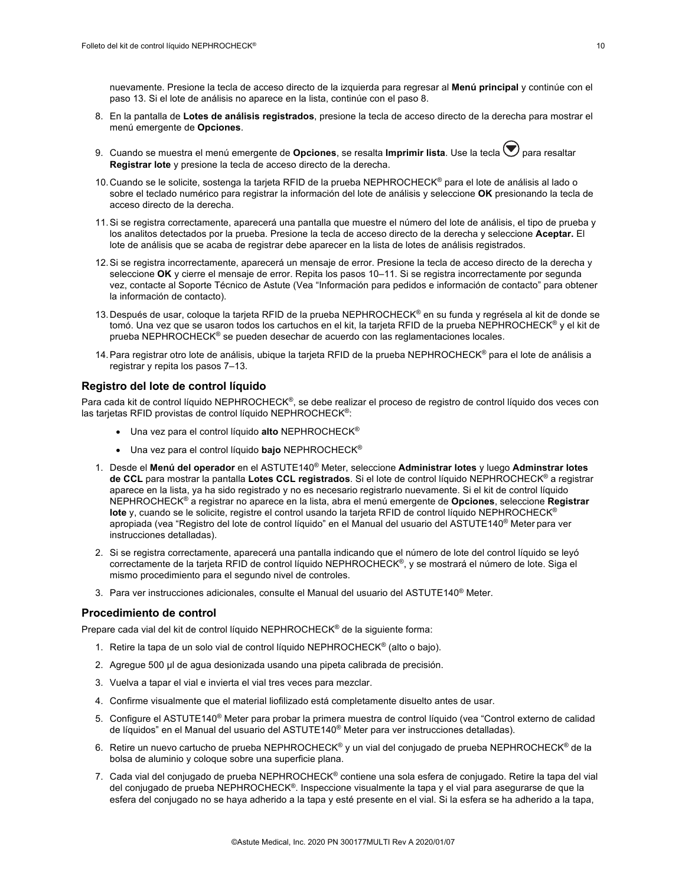nuevamente. Presione la tecla de acceso directo de la izquierda para regresar al **Menú principal** y continúe con el paso 13. Si el lote de análisis no aparece en la lista, continúe con el paso 8.

- 8. En la pantalla de **Lotes de análisis registrados**, presione la tecla de acceso directo de la derecha para mostrar el menú emergente de **Opciones**.
- 9. Cuando se muestra el menú emergente de **Opciones**, se resalta **Imprimir lista**. Use la tecla  $\bigtriangledown$  para resaltar **Registrar lote** y presione la tecla de acceso directo de la derecha.
- 10. Cuando se le solicite, sostenga la tarjeta RFID de la prueba NEPHROCHECK® para el lote de análisis al lado o sobre el teclado numérico para registrar la información del lote de análisis y seleccione **OK** presionando la tecla de acceso directo de la derecha.
- 11.Si se registra correctamente, aparecerá una pantalla que muestre el número del lote de análisis, el tipo de prueba y los analitos detectados por la prueba. Presione la tecla de acceso directo de la derecha y seleccione **Aceptar.** El lote de análisis que se acaba de registrar debe aparecer en la lista de lotes de análisis registrados.
- 12.Si se registra incorrectamente, aparecerá un mensaje de error. Presione la tecla de acceso directo de la derecha y seleccione **OK** y cierre el mensaje de error. Repita los pasos 10–11. Si se registra incorrectamente por segunda vez, contacte al Soporte Técnico de Astute (Vea "Información para pedidos e información de contacto" para obtener la información de contacto).
- 13. Después de usar, coloque la tarjeta RFID de la prueba NEPHROCHECK® en su funda y regrésela al kit de donde se tomó. Una vez que se usaron todos los cartuchos en el kit, la tarjeta RFID de la prueba NEPHROCHECK® y el kit de prueba NEPHROCHECK® se pueden desechar de acuerdo con las reglamentaciones locales.
- 14.Para registrar otro lote de análisis, ubique la tarjeta RFID de la prueba NEPHROCHECK® para el lote de análisis a registrar y repita los pasos 7–13.

#### **Registro del lote de control líquido**

Para cada kit de control líquido NEPHROCHECK®, se debe realizar el proceso de registro de control líquido dos veces con las tarjetas RFID provistas de control líquido NEPHROCHECK®:

- Una vez para el control líquido **alto** NEPHROCHECK®
- Una vez para el control líquido **bajo** NEPHROCHECK®
- 1. Desde el **Menú del operador** en el ASTUTE140® Meter, seleccione **Administrar lotes** y luego **Adminstrar lotes de CCL** para mostrar la pantalla **Lotes CCL registrados**. Si el lote de control líquido NEPHROCHECK® a registrar aparece en la lista, ya ha sido registrado y no es necesario registrarlo nuevamente. Si el kit de control líquido NEPHROCHECK® a registrar no aparece en la lista, abra el menú emergente de **Opciones**, seleccione **Registrar lote** y, cuando se le solicite, registre el control usando la tarjeta RFID de control líquido NEPHROCHECK® apropiada (vea "Registro del lote de control líquido" en el Manual del usuario del ASTUTE140® Meter para ver instrucciones detalladas).
- 2. Si se registra correctamente, aparecerá una pantalla indicando que el número de lote del control líquido se leyó correctamente de la tarjeta RFID de control líquido NEPHROCHECK®, y se mostrará el número de lote. Siga el mismo procedimiento para el segundo nivel de controles.
- 3. Para ver instrucciones adicionales, consulte el Manual del usuario del ASTUTE140® Meter.

#### **Procedimiento de control**

Prepare cada vial del kit de control líquido NEPHROCHECK® de la siguiente forma:

- 1. Retire la tapa de un solo vial de control líquido NEPHROCHECK<sup>®</sup> (alto o bajo).
- 2. Agregue 500 µl de agua desionizada usando una pipeta calibrada de precisión.
- 3. Vuelva a tapar el vial e invierta el vial tres veces para mezclar.
- 4. Confirme visualmente que el material liofilizado está completamente disuelto antes de usar.
- 5. Configure el ASTUTE140® Meter para probar la primera muestra de control líquido (vea "Control externo de calidad de líquidos" en el Manual del usuario del ASTUTE140® Meter para ver instrucciones detalladas).
- 6. Retire un nuevo cartucho de prueba NEPHROCHECK® y un vial del conjugado de prueba NEPHROCHECK® de la bolsa de aluminio y coloque sobre una superficie plana.
- 7. Cada vial del conjugado de prueba NEPHROCHECK<sup>®</sup> contiene una sola esfera de conjugado. Retire la tapa del vial del conjugado de prueba NEPHROCHECK®. Inspeccione visualmente la tapa y el vial para asegurarse de que la esfera del conjugado no se haya adherido a la tapa y esté presente en el vial. Si la esfera se ha adherido a la tapa,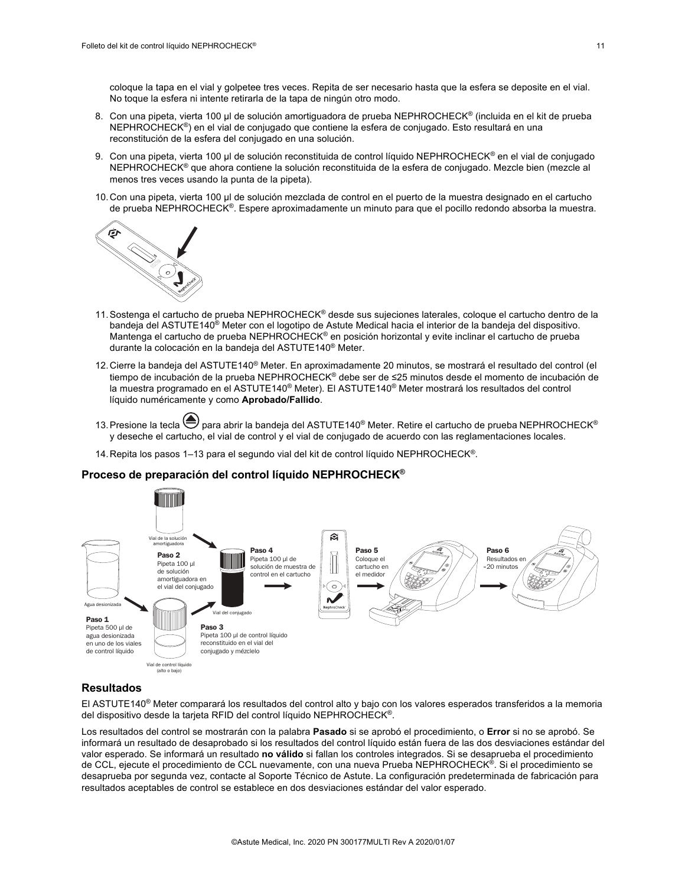coloque la tapa en el vial y golpetee tres veces. Repita de ser necesario hasta que la esfera se deposite en el vial. No toque la esfera ni intente retirarla de la tapa de ningún otro modo.

- 8. Con una pipeta, vierta 100 µl de solución amortiguadora de prueba NEPHROCHECK® (incluida en el kit de prueba NEPHROCHECK®) en el vial de conjugado que contiene la esfera de conjugado. Esto resultará en una reconstitución de la esfera del conjugado en una solución.
- 9. Con una pipeta, vierta 100 µl de solución reconstituida de control líquido NEPHROCHECK® en el vial de conjugado NEPHROCHECK<sup>®</sup> que ahora contiene la solución reconstituida de la esfera de conjugado. Mezcle bien (mezcle al menos tres veces usando la punta de la pipeta).
- 10.Con una pipeta, vierta 100 µl de solución mezclada de control en el puerto de la muestra designado en el cartucho de prueba NEPHROCHECK®. Espere aproximadamente un minuto para que el pocillo redondo absorba la muestra.



- 11. Sostenga el cartucho de prueba NEPHROCHECK<sup>®</sup> desde sus sujeciones laterales, coloque el cartucho dentro de la bandeja del ASTUTE140® Meter con el logotipo de Astute Medical hacia el interior de la bandeja del dispositivo. Mantenga el cartucho de prueba NEPHROCHECK® en posición horizontal y evite inclinar el cartucho de prueba durante la colocación en la bandeja del ASTUTE140® Meter.
- 12.Cierre la bandeja del ASTUTE140® Meter. En aproximadamente 20 minutos, se mostrará el resultado del control (el tiempo de incubación de la prueba NEPHROCHECK® debe ser de ≤25 minutos desde el momento de incubación de la muestra programado en el ASTUTE140<sup>®</sup> Meter). El ASTUTE140<sup>®</sup> Meter mostrará los resultados del control líquido numéricamente y como **Aprobado/Fallido**.
- 13. Presione la tecla  $\bigoplus$  para abrir la bandeja del ASTUTE140<sup>®</sup> Meter. Retire el cartucho de prueba NEPHROCHECK<sup>®</sup> y deseche el cartucho, el vial de control y el vial de conjugado de acuerdo con las reglamentaciones locales.
- 14.Repita los pasos 1–13 para el segundo vial del kit de control líquido NEPHROCHECK®.

#### **Proceso de preparación del control líquido NEPHROCHECK®**



## **Resultados**

El ASTUTE140® Meter comparará los resultados del control alto y bajo con los valores esperados transferidos a la memoria del dispositivo desde la tarjeta RFID del control líquido NEPHROCHECK®.

Los resultados del control se mostrarán con la palabra **Pasado** si se aprobó el procedimiento, o **Error** si no se aprobó. Se informará un resultado de desaprobado si los resultados del control líquido están fuera de las dos desviaciones estándar del valor esperado. Se informará un resultado **no válido** si fallan los controles integrados. Si se desaprueba el procedimiento de CCL, ejecute el procedimiento de CCL nuevamente, con una nueva Prueba NEPHROCHECK®. Si el procedimiento se desaprueba por segunda vez, contacte al Soporte Técnico de Astute. La configuración predeterminada de fabricación para resultados aceptables de control se establece en dos desviaciones estándar del valor esperado.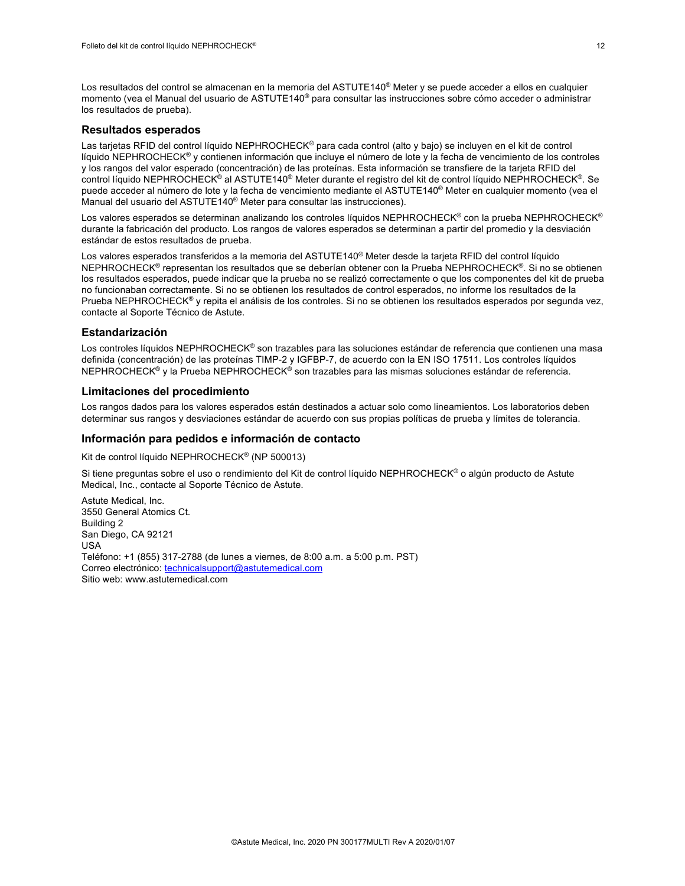Los resultados del control se almacenan en la memoria del ASTUTE140<sup>®</sup> Meter y se puede acceder a ellos en cualquier momento (vea el Manual del usuario de ASTUTE140® para consultar las instrucciones sobre cómo acceder o administrar los resultados de prueba).

#### **Resultados esperados**

Las tarjetas RFID del control líquido NEPHROCHECK® para cada control (alto y bajo) se incluyen en el kit de control líquido NEPHROCHECK® y contienen información que incluye el número de lote y la fecha de vencimiento de los controles y los rangos del valor esperado (concentración) de las proteínas. Esta información se transfiere de la tarjeta RFID del control líquido NEPHROCHECK® al ASTUTE140® Meter durante el registro del kit de control líquido NEPHROCHECK®. Se puede acceder al número de lote y la fecha de vencimiento mediante el ASTUTE140® Meter en cualquier momento (vea el Manual del usuario del ASTUTE140® Meter para consultar las instrucciones).

Los valores esperados se determinan analizando los controles líquidos NEPHROCHECK® con la prueba NEPHROCHECK® durante la fabricación del producto. Los rangos de valores esperados se determinan a partir del promedio y la desviación estándar de estos resultados de prueba.

Los valores esperados transferidos a la memoria del ASTUTE140® Meter desde la tarjeta RFID del control líquido NEPHROCHECK® representan los resultados que se deberían obtener con la Prueba NEPHROCHECK®. Si no se obtienen los resultados esperados, puede indicar que la prueba no se realizó correctamente o que los componentes del kit de prueba no funcionaban correctamente. Si no se obtienen los resultados de control esperados, no informe los resultados de la Prueba NEPHROCHECK® y repita el análisis de los controles. Si no se obtienen los resultados esperados por segunda vez, contacte al Soporte Técnico de Astute.

#### **Estandarización**

Los controles líquidos NEPHROCHECK<sup>®</sup> son trazables para las soluciones estándar de referencia que contienen una masa definida (concentración) de las proteínas TIMP-2 y IGFBP-7, de acuerdo con la EN ISO 17511. Los controles líquidos NEPHROCHECK<sup>®</sup> y la Prueba NEPHROCHECK<sup>®</sup> son trazables para las mismas soluciones estándar de referencia.

#### **Limitaciones del procedimiento**

Los rangos dados para los valores esperados están destinados a actuar solo como lineamientos. Los laboratorios deben determinar sus rangos y desviaciones estándar de acuerdo con sus propias políticas de prueba y límites de tolerancia.

#### **Información para pedidos e información de contacto**

Kit de control líquido NEPHROCHECK® (NP 500013)

Si tiene preguntas sobre el uso o rendimiento del Kit de control líquido NEPHROCHECK<sup>®</sup> o algún producto de Astute Medical, Inc., contacte al Soporte Técnico de Astute.

Astute Medical, Inc. 3550 General Atomics Ct. Building 2 San Diego, CA 92121 USA Teléfono: +1 (855) 317-2788 (de lunes a viernes, de 8:00 a.m. a 5:00 p.m. PST) Correo electrónico: technicalsupport@astutemedical.com Sitio web: www.astutemedical.com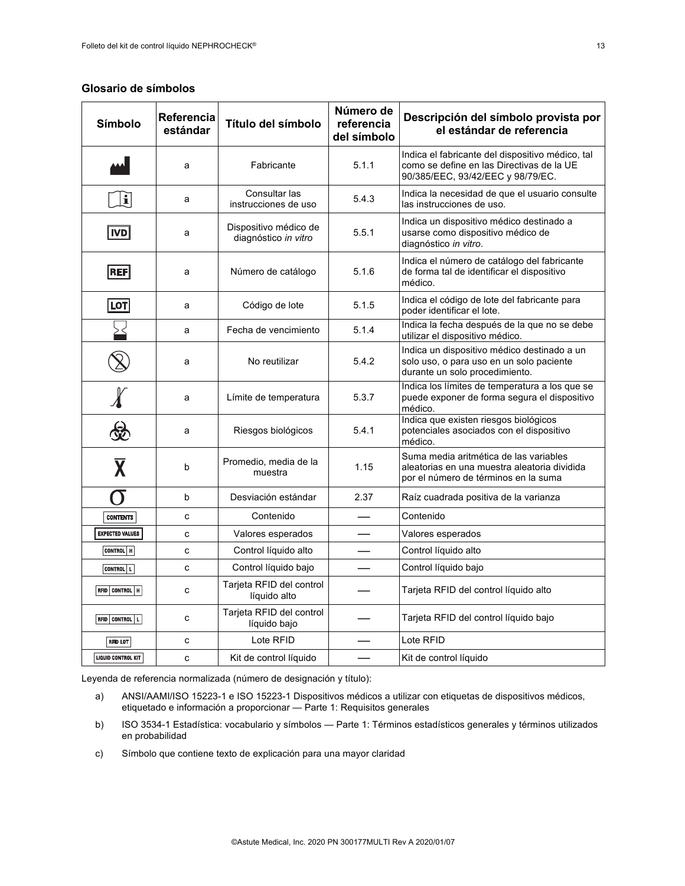## **Glosario de símbolos**

| Símbolo                 | Referencia<br>estándar | Título del símbolo                            | Número de<br>referencia<br>del símbolo | Descripción del símbolo provista por<br>el estándar de referencia                                                                  |
|-------------------------|------------------------|-----------------------------------------------|----------------------------------------|------------------------------------------------------------------------------------------------------------------------------------|
|                         | a                      | Fabricante                                    | 5.1.1                                  | Indica el fabricante del dispositivo médico, tal<br>como se define en las Directivas de la UE<br>90/385/EEC, 93/42/EEC y 98/79/EC. |
| i                       | a                      | Consultar las<br>instrucciones de uso         | 5.4.3                                  | Indica la necesidad de que el usuario consulte<br>las instrucciones de uso.                                                        |
| <b>IVD</b>              | a                      | Dispositivo médico de<br>diagnóstico in vitro | 5.5.1                                  | Indica un dispositivo médico destinado a<br>usarse como dispositivo médico de<br>diagnóstico in vitro.                             |
| <b>REF</b>              | a                      | Número de catálogo                            | 5.1.6                                  | Indica el número de catálogo del fabricante<br>de forma tal de identificar el dispositivo<br>médico.                               |
| LOT                     | a                      | Código de lote                                | 5.1.5                                  | Indica el código de lote del fabricante para<br>poder identificar el lote.                                                         |
|                         | a                      | Fecha de vencimiento                          | 5.1.4                                  | Indica la fecha después de la que no se debe<br>utilizar el dispositivo médico.                                                    |
|                         | a                      | No reutilizar                                 | 5.4.2                                  | Indica un dispositivo médico destinado a un<br>solo uso, o para uso en un solo paciente<br>durante un solo procedimiento.          |
|                         | a                      | Límite de temperatura                         | 5.3.7                                  | Indica los límites de temperatura a los que se<br>puede exponer de forma segura el dispositivo<br>médico.                          |
|                         | a                      | Riesgos biológicos                            | 5.4.1                                  | Indica que existen riesgos biológicos<br>potenciales asociados con el dispositivo<br>médico.                                       |
| $\overline{\mathbf{X}}$ | b                      | Promedio, media de la<br>muestra              | 1.15                                   | Suma media aritmética de las variables<br>aleatorias en una muestra aleatoria dividida<br>por el número de términos en la suma     |
| $\sigma$                | b                      | Desviación estándar                           | 2.37                                   | Raíz cuadrada positiva de la varianza                                                                                              |
| <b>CONTENTS</b>         | C                      | Contenido                                     |                                        | Contenido                                                                                                                          |
| <b>EXPECTED VALUES</b>  | C                      | Valores esperados                             |                                        | Valores esperados                                                                                                                  |
| CONTROL   H             | C                      | Control líquido alto                          |                                        | Control líquido alto                                                                                                               |
| CONTROL L               | C                      | Control líquido bajo                          |                                        | Control líquido bajo                                                                                                               |
| RFID CONTROL   H        | C                      | Tarjeta RFID del control<br>líquido alto      |                                        | Tarjeta RFID del control líquido alto                                                                                              |
| RFID CONTROL   L        | C                      | Tarjeta RFID del control<br>líquido bajo      |                                        | Tarjeta RFID del control líquido bajo                                                                                              |
| <b>RFID LOT</b>         | C                      | Lote RFID                                     |                                        | Lote RFID                                                                                                                          |
| LIQUID CONTROL KIT      | c                      | Kit de control líquido                        |                                        | Kit de control líquido                                                                                                             |

Leyenda de referencia normalizada (número de designación y título):

- a) ANSI/AAMI/ISO 15223-1 e ISO 15223-1 Dispositivos médicos a utilizar con etiquetas de dispositivos médicos, etiquetado e información a proporcionar - Parte 1: Requisitos generales
- b) ISO 3534-1 Estadística: vocabulario y símbolos Parte 1: Términos estadísticos generales y términos utilizados en probabilidad
- c) Símbolo que contiene texto de explicación para una mayor claridad